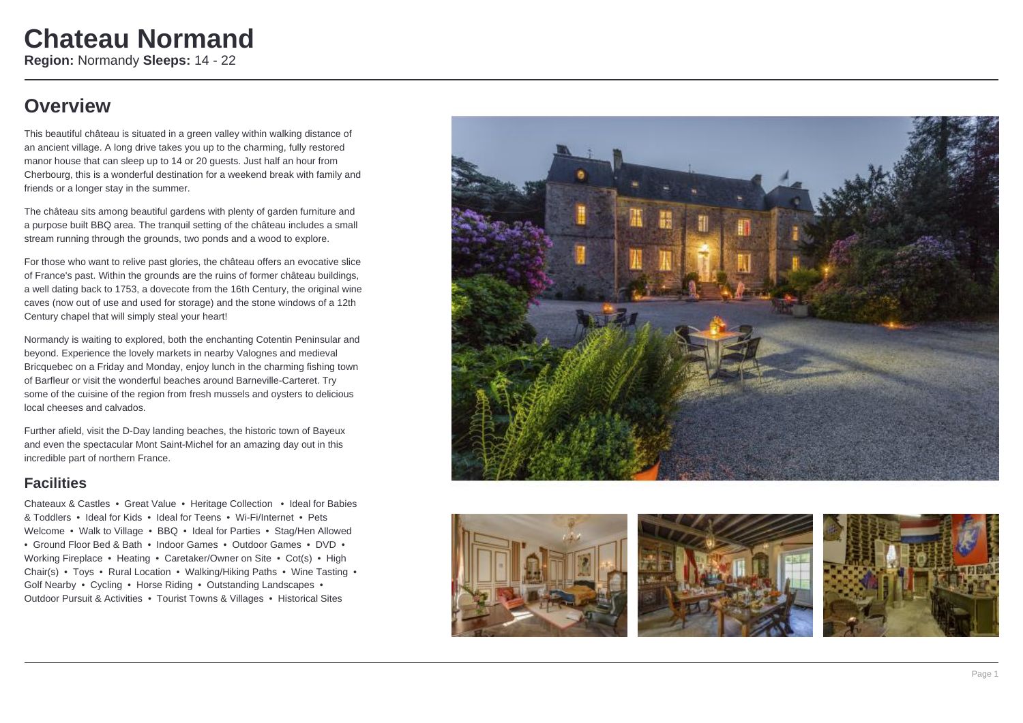## **Overview**

This beautiful château is situated in a green valley within walking distance of an ancient village. A long drive takes you up to the charming, fully restored manor house that can sleep up to 14 or 20 guests. Just half an hour from Cherbourg, this is a wonderful destination for a weekend break with family and friends or a longer stay in the summer.

The château sits among beautiful gardens with plenty of garden furniture and a purpose built BBQ area. The tranquil setting of the château includes a small stream running through the grounds, two ponds and a wood to explore.

For those who want to relive past glories, the château offers an evocative slice of France's past. Within the grounds are the ruins of former château buildings, a well dating back to 1753, a dovecote from the 16th Century, the original wine caves (now out of use and used for storage) and the stone windows of a 12th Century chapel that will simply steal your heart!

Normandy is waiting to explored, both the enchanting Cotentin Peninsular and beyond. Experience the lovely markets in nearby Valognes and medieval Bricquebec on a Friday and Monday, enjoy lunch in the charming fishing town of Barfleur or visit the wonderful beaches around Barneville-Carteret. Try some of the cuisine of the region from fresh mussels and oysters to delicious local cheeses and calvados.

Further afield, visit the D-Day landing beaches, the historic town of Bayeux and even the spectacular Mont Saint-Michel for an amazing day out in this incredible part of northern France.

### **Facilities**

Chateaux & Castles • Great Value • Heritage Collection • Ideal for Babies & Toddlers • Ideal for Kids • Ideal for Teens • Wi-Fi/Internet • Pets Welcome • Walk to Village • BBQ • Ideal for Parties • Stag/Hen Allowed • Ground Floor Bed & Bath • Indoor Games • Outdoor Games • DVD • Working Fireplace • Heating • Caretaker/Owner on Site • Cot(s) • High Chair(s) • Toys • Rural Location • Walking/Hiking Paths • Wine Tasting • Golf Nearby • Cycling • Horse Riding • Outstanding Landscapes • Outdoor Pursuit & Activities • Tourist Towns & Villages • Historical Sites







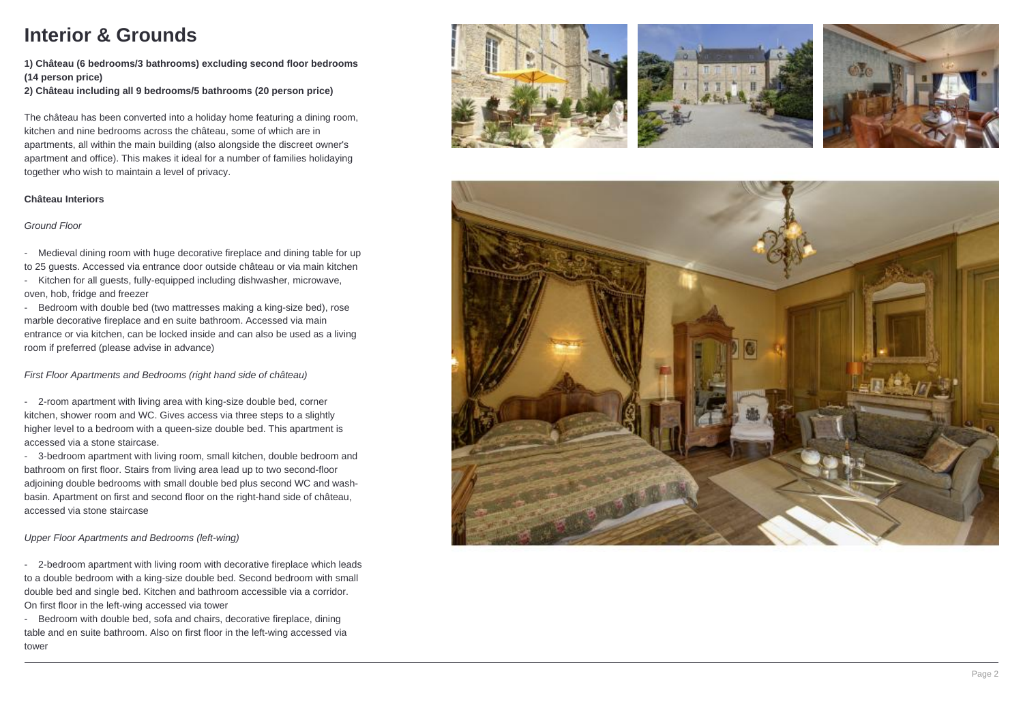# **Interior & Grounds**

**1) Château (6 bedrooms/3 bathrooms) excluding second floor bedrooms (14 person price)**

**2) Château including all 9 bedrooms/5 bathrooms (20 person price)** 

The château has been converted into a holiday home featuring a dining room, kitchen and nine bedrooms across the château, some of which are in apartments, all within the main building (also alongside the discreet owner's apartment and office). This makes it ideal for a number of families holidaying together who wish to maintain a level of privacy.

#### **Château Interiors**

### Ground Floor

- Medieval dining room with huge decorative fireplace and dining table for up to 25 guests. Accessed via entrance door outside château or via main kitchen

- Kitchen for all guests, fully-equipped including dishwasher, microwave, oven, hob, fridge and freezer

- Bedroom with double bed (two mattresses making a king-size bed), rose marble decorative fireplace and en suite bathroom. Accessed via main entrance or via kitchen, can be locked inside and can also be used as a living room if preferred (please advise in advance)

First Floor Apartments and Bedrooms (right hand side of château)

- 2-room apartment with living area with king-size double bed, corner kitchen, shower room and WC. Gives access via three steps to a slightly higher level to a bedroom with a queen-size double bed. This apartment is accessed via a stone staircase.

- 3-bedroom apartment with living room, small kitchen, double bedroom and bathroom on first floor. Stairs from living area lead up to two second-floor adjoining double bedrooms with small double bed plus second WC and washbasin. Apartment on first and second floor on the right-hand side of château, accessed via stone staircase

Upper Floor Apartments and Bedrooms (left-wing)

- 2-bedroom apartment with living room with decorative fireplace which leads to a double bedroom with a king-size double bed. Second bedroom with small double bed and single bed. Kitchen and bathroom accessible via a corridor. On first floor in the left-wing accessed via tower

- Bedroom with double bed, sofa and chairs, decorative fireplace, dining table and en suite bathroom. Also on first floor in the left-wing accessed via tower







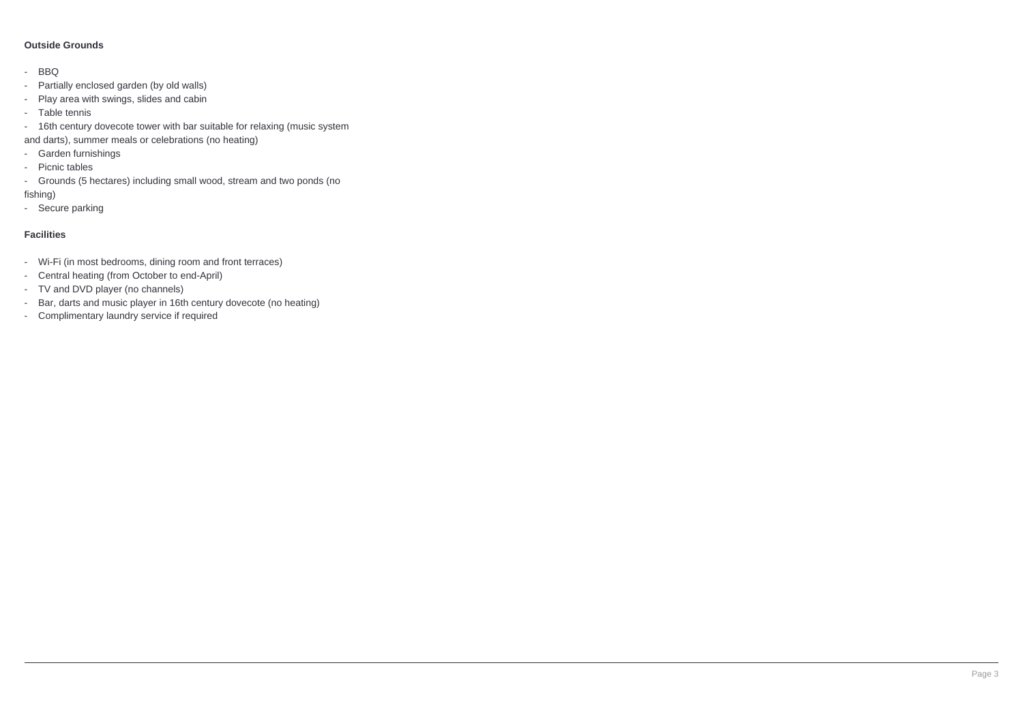### **Outside Grounds**

- BBQ
- Partially enclosed garden (by old walls)
- Play area with swings, slides and cabin
- Table tennis
- 16th century dovecote tower with bar suitable for relaxing (music system
- and darts), summer meals or celebrations (no heating)
- Garden furnishings
- Picnic tables
- Grounds (5 hectares) including small wood, stream and two ponds (no fishing)
- Secure parking
- 

### **Facilities**

- Wi-Fi (in most bedrooms, dining room and front terraces)
- Central heating (from October to end-April)
- TV and DVD player (no channels)
- Bar, darts and music player in 16th century dovecote (no heating)
- Complimentary laundry service if required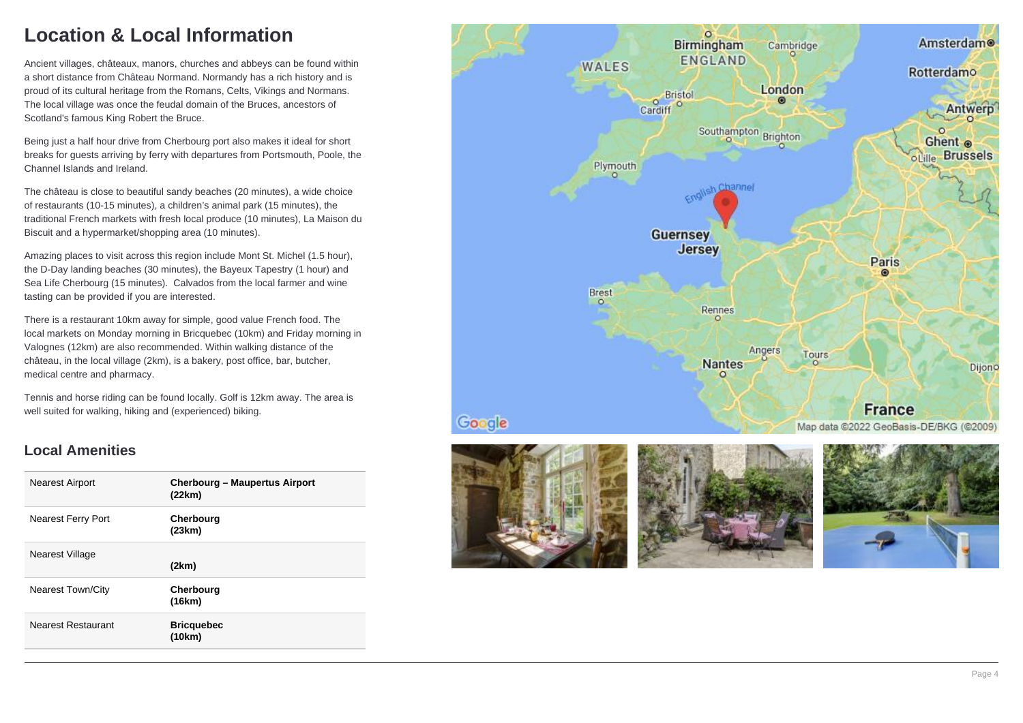# **Location & Local Information**

Ancient villages, châteaux, manors, churches and abbeys can be found within a short distance from Château Normand. Normandy has a rich history and is proud of its cultural heritage from the Romans, Celts, Vikings and Normans. The local village was once the feudal domain of the Bruces, ancestors of Scotland's famous King Robert the Bruce.

Being just a half hour drive from Cherbourg port also makes it ideal for short breaks for guests arriving by ferry with departures from Portsmouth, Poole, the Channel Islands and Ireland.

The château is close to beautiful sandy beaches (20 minutes), a wide choice of restaurants (10-15 minutes), a children's animal park (15 minutes), the traditional French markets with fresh local produce (10 minutes), La Maison du Biscuit and a hypermarket/shopping area (10 minutes).

Amazing places to visit across this region include Mont St. Michel (1.5 hour), the D-Day landing beaches (30 minutes), the Bayeux Tapestry (1 hour) and Sea Life Cherbourg (15 minutes). Calvados from the local farmer and wine tasting can be provided if you are interested.

There is a restaurant 10km away for simple, good value French food. The local markets on Monday morning in Bricquebec (10km) and Friday morning in Valognes (12km) are also recommended. Within walking distance of the château, in the local village (2km), is a bakery, post office, bar, butcher, medical centre and pharmacy.

Tennis and horse riding can be found locally. Golf is 12km away. The area is well suited for walking, hiking and (experienced) biking.

### **Local Amenities**

| <b>Cherbourg – Maupertus Airport</b> |
|--------------------------------------|
|                                      |
|                                      |
|                                      |
|                                      |
|                                      |
|                                      |
|                                      |

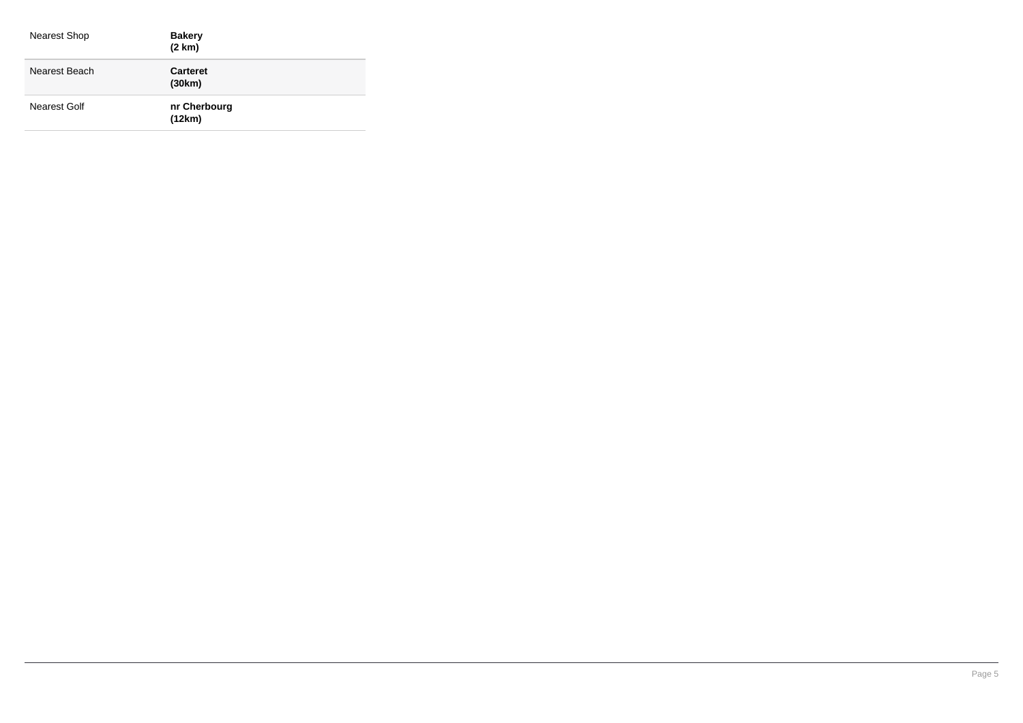| Nearest Shop  | <b>Bakery</b><br>(2 km)   |
|---------------|---------------------------|
| Nearest Beach | <b>Carteret</b><br>(30km) |
| Nearest Golf  | nr Cherbourg<br>(12km)    |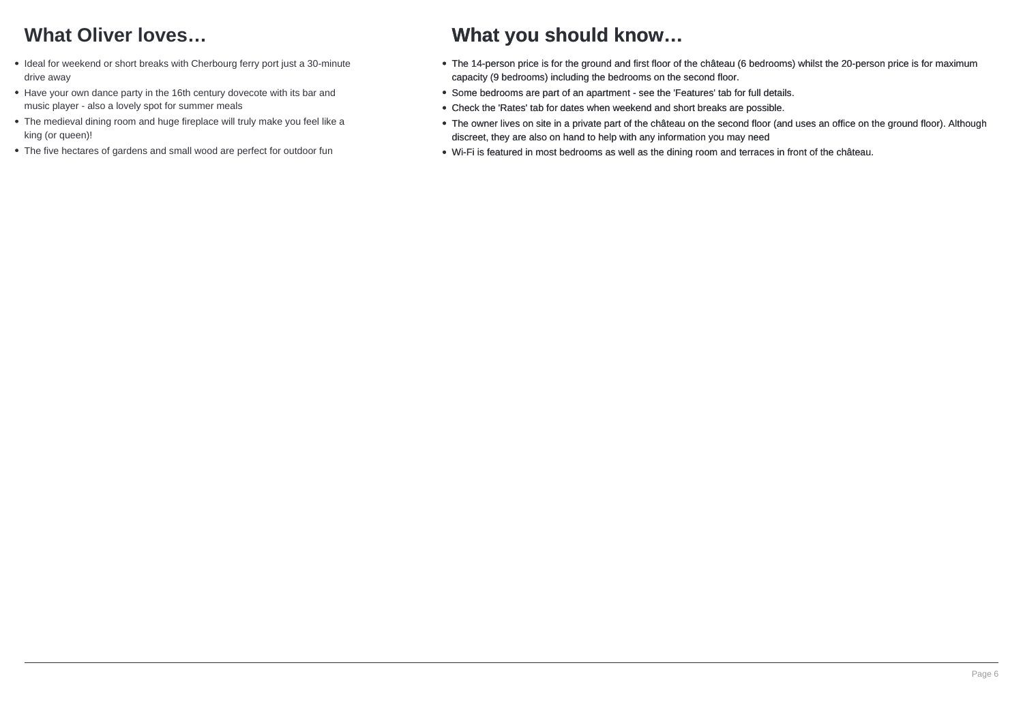# **What Oliver loves…**

- Ideal for weekend or short breaks with Cherbourg ferry port just a 30-minute drive away
- Have your own dance party in the 16th century dovecote with its bar and music player - also a lovely spot for summer meals
- The medieval dining room and huge fireplace will truly make you feel like a king (or queen)!
- The five hectares of gardens and small wood are perfect for outdoor fun

## **What you should know…**

- The 14-person price is for the ground and first floor of the château (6 bedrooms) whilst the 20-person price is for maximum capacity (9 bedrooms) including the bedrooms on the second floor.
- Some bedrooms are part of an apartment see the 'Features' tab for full details.
- Check the 'Rates' tab for dates when weekend and short breaks are possible.
- The owner lives on site in a private part of the château on the second floor (and uses an office on the ground floor). Although discreet, they are also on hand to help with any information you may need
- Wi-Fi is featured in most bedrooms as well as the dining room and terraces in front of the château.